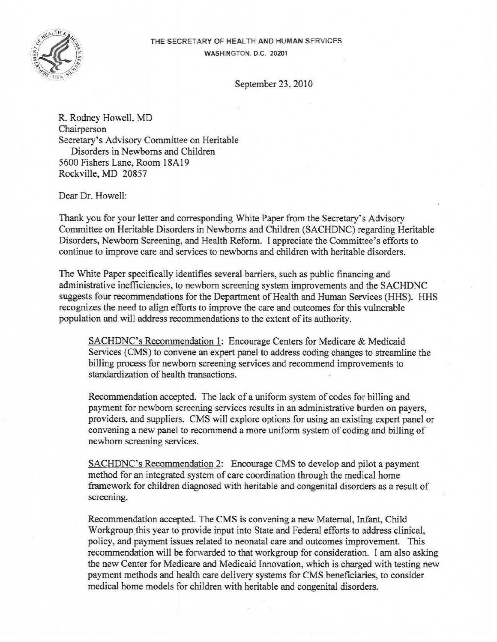

## THE SECRETARY OF HEALTH AND HUMAN SERVICES WASHINGTON, D.C. 20201

September 23, 2010

R. Rodney Howell, MD Chairperson Secretary's Advisory Committee on Heritable Disorders in Newborns and Children 5600 Fishers Lane, Room 18A 19 Rockville, MD 20857

Dear Dr. Howell:

Thank you for your letter and corresponding White Paper from the Secretary's Advisory Committee on Heritable Disorders in Newborns and Children (SACHDNC) regarding Heritable Disorders, Newborn Screening, and Health Reform. 1 appreciate the Committee's efforts to continue to improve care and services to newborns and children with heritable disorders.

The White Paper specifically identifies several barriers, such as public financing and administrative inefficiencies, to newborn screening system improvements and the SACHDNC suggests four recommendations for the Department of Health and Human Services (HHS). HHS recognizes the need to align efforts to improve the care and outcomes for this vulnerable population and will address recommendations to the extent of its authority.

SACHDNC's Recommendation 1: Encourage Centers for Medicare & Medicaid Services (CMS) to convene an expert panel to address coding changes to streamline the billing process for newborn screening services and recommend improvements to standardization of health transactions.

Recommendation accepted. The lack of a uniform system of codes for billing and payment for newborn screening services results in an administrative burden on payers, providers, and suppliers. CMS will explore options for using an existing expert panel or convening a new panel to recommend a more uniform system of coding and billing of newborn screening services.

SACHDNC's Recommendation 2: Encourage CMS to develop and pilot a payment method for an integrated system of care coordination through the medical home framework for children diagnosed with heritable and congenital disorders as a result of screening.

Recommendation accepted. The CMS is convening a new Maternal, Infant, Child Workgroup this year to provide input into State and Federal efforts to address clinical, policy, and payment issues related to neonatal care and outcomes improvement. This recommendation will be forwarded to that workgroup for consideration. I am also asking the new Center for Medicare and Medicaid Innovation, which is charged with testing new payment methods and health care delivery systems for CMS beneficiaries, to consider medical home models for children with heritable and congenital disorders.